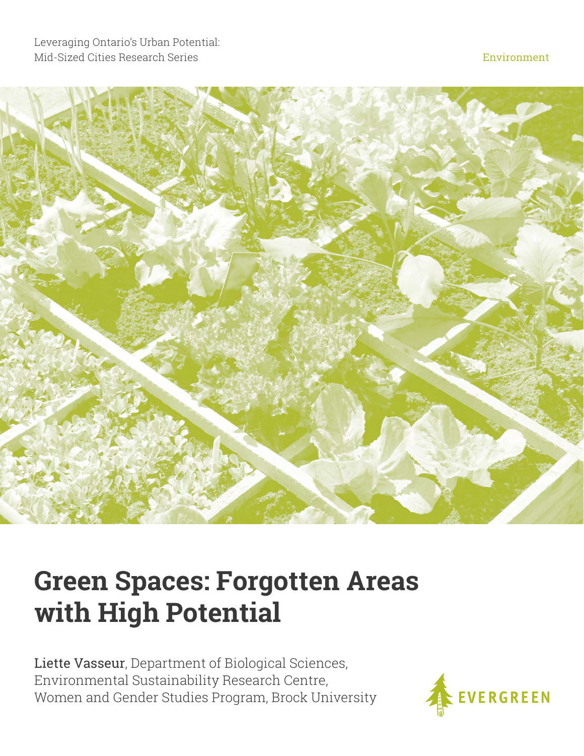

# **Green Spaces: Forgotten Areas with High Potential**

Liette Vasseur, Department of Biological Sciences, Environmental Sustainability Research Centre, Women and Gender Studies Program, Brock University

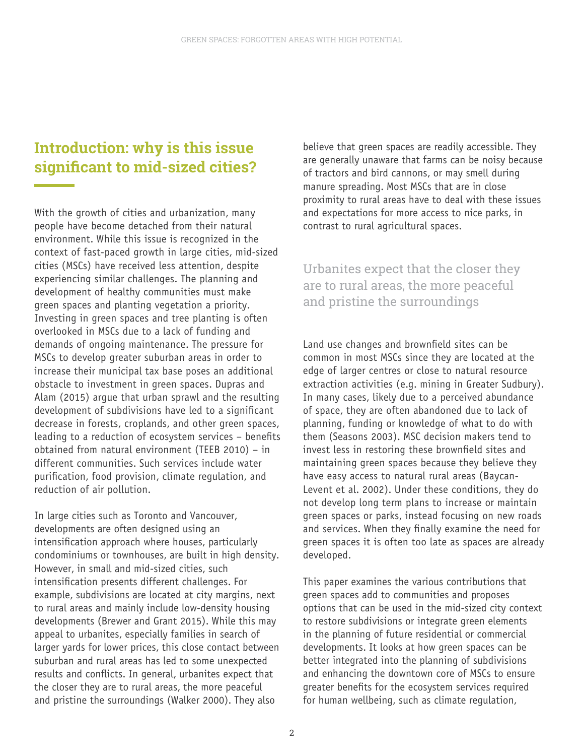## **Introduction: why is this issue significant to mid-sized cities?**

With the growth of cities and urbanization, many people have become detached from their natural environment. While this issue is recognized in the context of fast-paced growth in large cities, mid-sized cities (MSCs) have received less attention, despite experiencing similar challenges. The planning and development of healthy communities must make green spaces and planting vegetation a priority. Investing in green spaces and tree planting is often overlooked in MSCs due to a lack of funding and demands of ongoing maintenance. The pressure for MSCs to develop greater suburban areas in order to increase their municipal tax base poses an additional obstacle to investment in green spaces. Dupras and Alam (2015) argue that urban sprawl and the resulting development of subdivisions have led to a significant decrease in forests, croplands, and other green spaces, leading to a reduction of ecosystem services – benefits obtained from natural environment (TEEB 2010) – in different communities. Such services include water purification, food provision, climate regulation, and reduction of air pollution.

In large cities such as Toronto and Vancouver, developments are often designed using an intensification approach where houses, particularly condominiums or townhouses, are built in high density. However, in small and mid-sized cities, such intensification presents different challenges. For example, subdivisions are located at city margins, next to rural areas and mainly include low-density housing developments (Brewer and Grant 2015). While this may appeal to urbanites, especially families in search of larger yards for lower prices, this close contact between suburban and rural areas has led to some unexpected results and conflicts. In general, urbanites expect that the closer they are to rural areas, the more peaceful and pristine the surroundings (Walker 2000). They also

believe that green spaces are readily accessible. They are generally unaware that farms can be noisy because of tractors and bird cannons, or may smell during manure spreading. Most MSCs that are in close proximity to rural areas have to deal with these issues and expectations for more access to nice parks, in contrast to rural agricultural spaces.

### Urbanites expect that the closer they are to rural areas, the more peaceful and pristine the surroundings

Land use changes and brownfield sites can be common in most MSCs since they are located at the edge of larger centres or close to natural resource extraction activities (e.g. mining in Greater Sudbury). In many cases, likely due to a perceived abundance of space, they are often abandoned due to lack of planning, funding or knowledge of what to do with them (Seasons 2003). MSC decision makers tend to invest less in restoring these brownfield sites and maintaining green spaces because they believe they have easy access to natural rural areas (Baycan-Levent et al. 2002). Under these conditions, they do not develop long term plans to increase or maintain green spaces or parks, instead focusing on new roads and services. When they finally examine the need for green spaces it is often too late as spaces are already developed.

This paper examines the various contributions that green spaces add to communities and proposes options that can be used in the mid-sized city context to restore subdivisions or integrate green elements in the planning of future residential or commercial developments. It looks at how green spaces can be better integrated into the planning of subdivisions and enhancing the downtown core of MSCs to ensure greater benefits for the ecosystem services required for human wellbeing, such as climate regulation,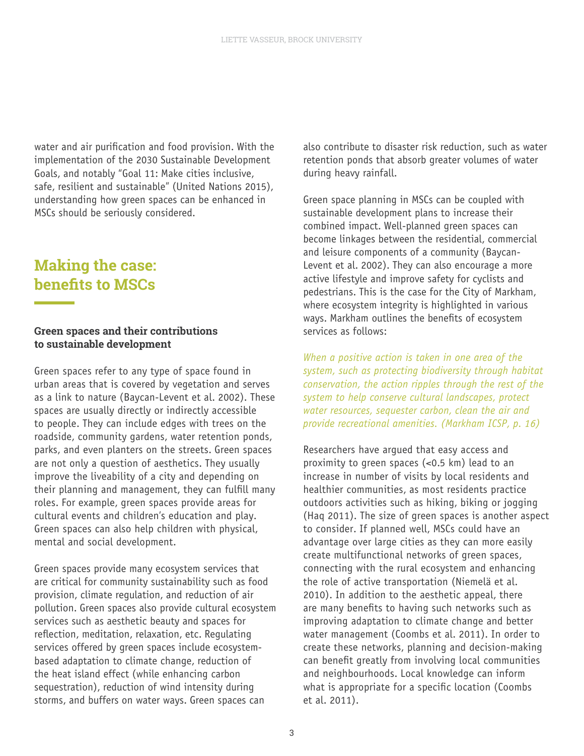water and air purification and food provision. With the implementation of the 2030 Sustainable Development Goals, and notably "Goal 11: Make cities inclusive, safe, resilient and sustainable" (United Nations 2015), understanding how green spaces can be enhanced in MSCs should be seriously considered.

### **Making the case: benefits to MSCs**

#### **Green spaces and their contributions to sustainable development**

Green spaces refer to any type of space found in urban areas that is covered by vegetation and serves as a link to nature (Baycan-Levent et al. 2002). These spaces are usually directly or indirectly accessible to people. They can include edges with trees on the roadside, community gardens, water retention ponds, parks, and even planters on the streets. Green spaces are not only a question of aesthetics. They usually improve the liveability of a city and depending on their planning and management, they can fulfill many roles. For example, green spaces provide areas for cultural events and children's education and play. Green spaces can also help children with physical, mental and social development.

Green spaces provide many ecosystem services that are critical for community sustainability such as food provision, climate regulation, and reduction of air pollution. Green spaces also provide cultural ecosystem services such as aesthetic beauty and spaces for reflection, meditation, relaxation, etc. Regulating services offered by green spaces include ecosystembased adaptation to climate change, reduction of the heat island effect (while enhancing carbon sequestration), reduction of wind intensity during storms, and buffers on water ways. Green spaces can

also contribute to disaster risk reduction, such as water retention ponds that absorb greater volumes of water during heavy rainfall.

Green space planning in MSCs can be coupled with sustainable development plans to increase their combined impact. Well-planned green spaces can become linkages between the residential, commercial and leisure components of a community (Baycan-Levent et al. 2002). They can also encourage a more active lifestyle and improve safety for cyclists and pedestrians. This is the case for the City of Markham, where ecosystem integrity is highlighted in various ways. Markham outlines the benefits of ecosystem services as follows:

*When a positive action is taken in one area of the system, such as protecting biodiversity through habitat conservation, the action ripples through the rest of the system to help conserve cultural landscapes, protect water resources, sequester carbon, clean the air and provide recreational amenities. (Markham ICSP, p. 16)*

Researchers have argued that easy access and proximity to green spaces (<0.5 km) lead to an increase in number of visits by local residents and healthier communities, as most residents practice outdoors activities such as hiking, biking or jogging (Haq 2011). The size of green spaces is another aspect to consider. If planned well, MSCs could have an advantage over large cities as they can more easily create multifunctional networks of green spaces, connecting with the rural ecosystem and enhancing the role of active transportation (Niemelä et al. 2010). In addition to the aesthetic appeal, there are many benefits to having such networks such as improving adaptation to climate change and better water management (Coombs et al. 2011). In order to create these networks, planning and decision-making can benefit greatly from involving local communities and neighbourhoods. Local knowledge can inform what is appropriate for a specific location (Coombs et al. 2011).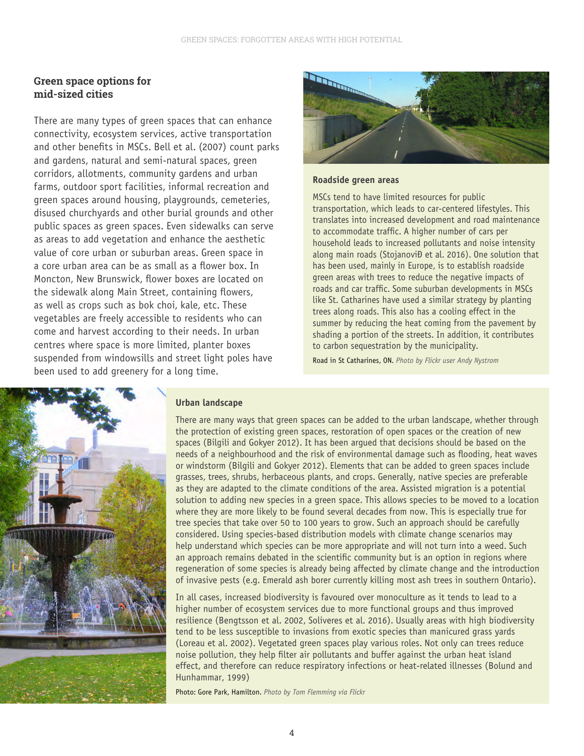#### **Green space options for mid-sized cities**

There are many types of green spaces that can enhance connectivity, ecosystem services, active transportation and other benefits in MSCs. Bell et al. (2007) count parks and gardens, natural and semi-natural spaces, green corridors, allotments, community gardens and urban farms, outdoor sport facilities, informal recreation and green spaces around housing, playgrounds, cemeteries, disused churchyards and other burial grounds and other public spaces as green spaces. Even sidewalks can serve as areas to add vegetation and enhance the aesthetic value of core urban or suburban areas. Green space in a core urban area can be as small as a flower box. In Moncton, New Brunswick, flower boxes are located on the sidewalk along Main Street, containing flowers, as well as crops such as bok choi, kale, etc. These vegetables are freely accessible to residents who can come and harvest according to their needs. In urban centres where space is more limited, planter boxes suspended from windowsills and street light poles have been used to add greenery for a long time.



#### **Roadside green areas**

MSCs tend to have limited resources for public transportation, which leads to car-centered lifestyles. This translates into increased development and road maintenance to accommodate traffic. A higher number of cars per household leads to increased pollutants and noise intensity along main roads (StojanoviĐ et al. 2016). One solution that has been used, mainly in Europe, is to establish roadside green areas with trees to reduce the negative impacts of roads and car traffic. Some suburban developments in MSCs like St. Catharines have used a similar strategy by planting trees along roads. This also has a cooling effect in the summer by reducing the heat coming from the pavement by shading a portion of the streets. In addition, it contributes to carbon sequestration by the municipality.

Road in St Catharines, ON. *Photo by Flickr user Andy Nystrom*



#### **Urban landscape**

There are many ways that green spaces can be added to the urban landscape, whether through the protection of existing green spaces, restoration of open spaces or the creation of new spaces (Bilgili and Gokyer 2012). It has been argued that decisions should be based on the needs of a neighbourhood and the risk of environmental damage such as flooding, heat waves or windstorm (Bilgili and Gokyer 2012). Elements that can be added to green spaces include grasses, trees, shrubs, herbaceous plants, and crops. Generally, native species are preferable as they are adapted to the climate conditions of the area. Assisted migration is a potential solution to adding new species in a green space. This allows species to be moved to a location where they are more likely to be found several decades from now. This is especially true for tree species that take over 50 to 100 years to grow. Such an approach should be carefully considered. Using species-based distribution models with climate change scenarios may help understand which species can be more appropriate and will not turn into a weed. Such an approach remains debated in the scientific community but is an option in regions where regeneration of some species is already being affected by climate change and the introduction of invasive pests (e.g. Emerald ash borer currently killing most ash trees in southern Ontario).

In all cases, increased biodiversity is favoured over monoculture as it tends to lead to a higher number of ecosystem services due to more functional groups and thus improved resilience (Bengtsson et al. 2002, Soliveres et al. 2016). Usually areas with high biodiversity tend to be less susceptible to invasions from exotic species than manicured grass yards (Loreau et al. 2002). Vegetated green spaces play various roles. Not only can trees reduce noise pollution, they help filter air pollutants and buffer against the urban heat island effect, and therefore can reduce respiratory infections or heat-related illnesses (Bolund and Hunhammar, 1999)

Photo: Gore Park, Hamilton. *Photo by Tom Flemming via Flickr*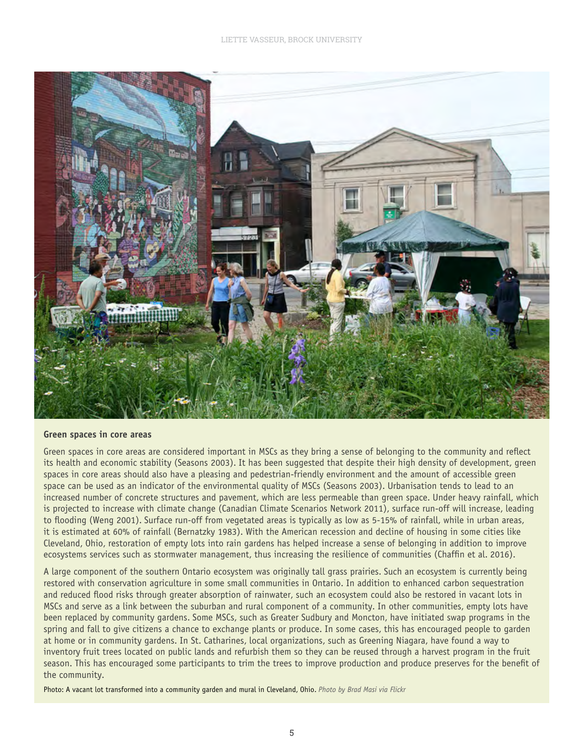

#### **Green spaces in core areas**

Green spaces in core areas are considered important in MSCs as they bring a sense of belonging to the community and reflect its health and economic stability (Seasons 2003). It has been suggested that despite their high density of development, green spaces in core areas should also have a pleasing and pedestrian-friendly environment and the amount of accessible green space can be used as an indicator of the environmental quality of MSCs (Seasons 2003). Urbanisation tends to lead to an increased number of concrete structures and pavement, which are less permeable than green space. Under heavy rainfall, which is projected to increase with climate change (Canadian Climate Scenarios Network 2011), surface run-off will increase, leading to flooding (Weng 2001). Surface run-off from vegetated areas is typically as low as 5-15% of rainfall, while in urban areas, it is estimated at 60% of rainfall (Bernatzky 1983). With the American recession and decline of housing in some cities like Cleveland, Ohio, restoration of empty lots into rain gardens has helped increase a sense of belonging in addition to improve ecosystems services such as stormwater management, thus increasing the resilience of communities (Chaffin et al. 2016).

A large component of the southern Ontario ecosystem was originally tall grass prairies. Such an ecosystem is currently being restored with conservation agriculture in some small communities in Ontario. In addition to enhanced carbon sequestration and reduced flood risks through greater absorption of rainwater, such an ecosystem could also be restored in vacant lots in MSCs and serve as a link between the suburban and rural component of a community. In other communities, empty lots have been replaced by community gardens. Some MSCs, such as Greater Sudbury and Moncton, have initiated swap programs in the spring and fall to give citizens a chance to exchange plants or produce. In some cases, this has encouraged people to garden at home or in community gardens. In St. Catharines, local organizations, such as Greening Niagara, have found a way to inventory fruit trees located on public lands and refurbish them so they can be reused through a harvest program in the fruit season. This has encouraged some participants to trim the trees to improve production and produce preserves for the benefit of the community.

Photo: A vacant lot transformed into a community garden and mural in Cleveland, Ohio. *Photo by Brad Masi via Flickr*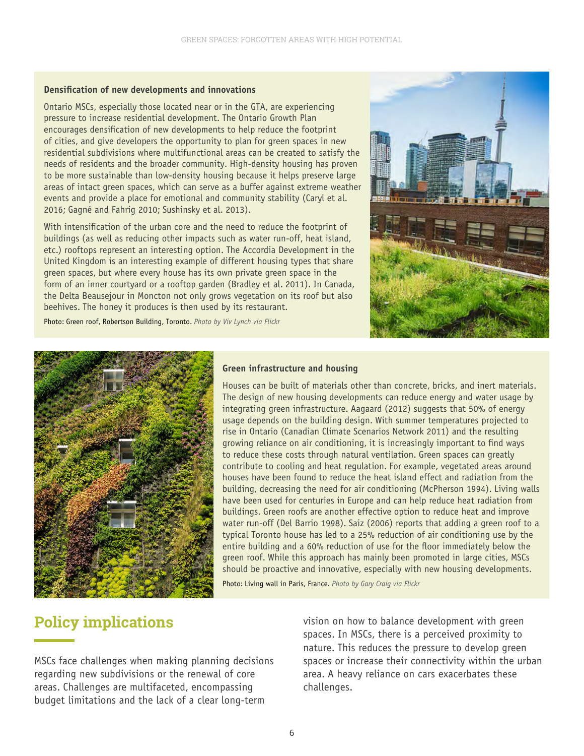#### **Densification of new developments and innovations**

Ontario MSCs, especially those located near or in the GTA, are experiencing pressure to increase residential development. The Ontario Growth Plan encourages densification of new developments to help reduce the footprint of cities, and give developers the opportunity to plan for green spaces in new residential subdivisions where multifunctional areas can be created to satisfy the needs of residents and the broader community. High-density housing has proven to be more sustainable than low-density housing because it helps preserve large areas of intact green spaces, which can serve as a buffer against extreme weather events and provide a place for emotional and community stability (Caryl et al. 2016; Gagné and Fahrig 2010; Sushinsky et al. 2013).

With intensification of the urban core and the need to reduce the footprint of buildings (as well as reducing other impacts such as water run-off, heat island, etc.) rooftops represent an interesting option. The Accordia Development in the United Kingdom is an interesting example of different housing types that share green spaces, but where every house has its own private green space in the form of an inner courtyard or a rooftop garden (Bradley et al. 2011). In Canada, the Delta Beausejour in Moncton not only grows vegetation on its roof but also beehives. The honey it produces is then used by its restaurant.



Photo: Green roof, Robertson Building, Toronto. *Photo by Viv Lynch via Flickr*



#### **Green infrastructure and housing**

Houses can be built of materials other than concrete, bricks, and inert materials. The design of new housing developments can reduce energy and water usage by integrating green infrastructure. Aagaard (2012) suggests that 50% of energy usage depends on the building design. With summer temperatures projected to rise in Ontario (Canadian Climate Scenarios Network 2011) and the resulting growing reliance on air conditioning, it is increasingly important to find ways to reduce these costs through natural ventilation. Green spaces can greatly contribute to cooling and heat regulation. For example, vegetated areas around houses have been found to reduce the heat island effect and radiation from the building, decreasing the need for air conditioning (McPherson 1994). Living walls have been used for centuries in Europe and can help reduce heat radiation from buildings. Green roofs are another effective option to reduce heat and improve water run-off (Del Barrio 1998). Saiz (2006) reports that adding a green roof to a typical Toronto house has led to a 25% reduction of air conditioning use by the entire building and a 60% reduction of use for the floor immediately below the green roof. While this approach has mainly been promoted in large cities, MSCs should be proactive and innovative, especially with new housing developments.

Photo: Living wall in Paris, France. *Photo by Gary Craig via Flickr*

### **Policy implications**

MSCs face challenges when making planning decisions regarding new subdivisions or the renewal of core areas. Challenges are multifaceted, encompassing budget limitations and the lack of a clear long-term

vision on how to balance development with green spaces. In MSCs, there is a perceived proximity to nature. This reduces the pressure to develop green spaces or increase their connectivity within the urban area. A heavy reliance on cars exacerbates these challenges.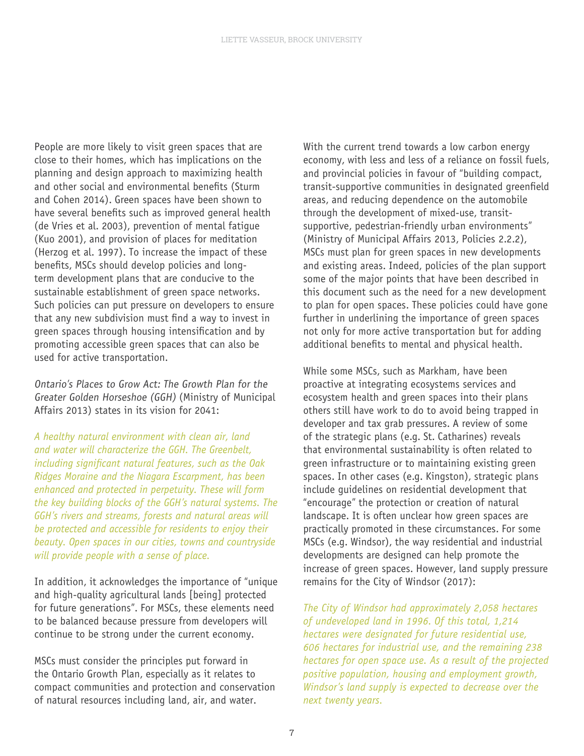People are more likely to visit green spaces that are close to their homes, which has implications on the planning and design approach to maximizing health and other social and environmental benefits (Sturm and Cohen 2014). Green spaces have been shown to have several benefits such as improved general health (de Vries et al. 2003), prevention of mental fatigue (Kuo 2001), and provision of places for meditation (Herzog et al. 1997). To increase the impact of these benefits, MSCs should develop policies and longterm development plans that are conducive to the sustainable establishment of green space networks. Such policies can put pressure on developers to ensure that any new subdivision must find a way to invest in green spaces through housing intensification and by promoting accessible green spaces that can also be used for active transportation.

Ontario's Places to Grow Act: The Growth Plan for the Greater Golden Horseshoe (GGH) (Ministry of Municipal Affairs 2013) states in its vision for 2041:

*A healthy natural environment with clean air, land and water will characterize the GGH. The Greenbelt, including significant natural features, such as the Oak Ridges Moraine and the Niagara Escarpment, has been enhanced and protected in perpetuity. These will form the key building blocks of the GGH's natural systems. The GGH's rivers and streams, forests and natural areas will be protected and accessible for residents to enjoy their beauty. Open spaces in our cities, towns and countryside will provide people with a sense of place.*

In addition, it acknowledges the importance of "unique and high-quality agricultural lands [being] protected for future generations". For MSCs, these elements need to be balanced because pressure from developers will continue to be strong under the current economy.

MSCs must consider the principles put forward in the Ontario Growth Plan, especially as it relates to compact communities and protection and conservation of natural resources including land, air, and water.

With the current trend towards a low carbon energy economy, with less and less of a reliance on fossil fuels, and provincial policies in favour of "building compact, transit-supportive communities in designated greenfield areas, and reducing dependence on the automobile through the development of mixed-use, transitsupportive, pedestrian-friendly urban environments" (Ministry of Municipal Affairs 2013, Policies 2.2.2), MSCs must plan for green spaces in new developments and existing areas. Indeed, policies of the plan support some of the major points that have been described in this document such as the need for a new development to plan for open spaces. These policies could have gone further in underlining the importance of green spaces not only for more active transportation but for adding additional benefits to mental and physical health.

While some MSCs, such as Markham, have been proactive at integrating ecosystems services and ecosystem health and green spaces into their plans others still have work to do to avoid being trapped in developer and tax grab pressures. A review of some of the strategic plans (e.g. St. Catharines) reveals that environmental sustainability is often related to green infrastructure or to maintaining existing green spaces. In other cases (e.g. Kingston), strategic plans include guidelines on residential development that "encourage" the protection or creation of natural landscape. It is often unclear how green spaces are practically promoted in these circumstances. For some MSCs (e.g. Windsor), the way residential and industrial developments are designed can help promote the increase of green spaces. However, land supply pressure remains for the City of Windsor (2017):

*The City of Windsor had approximately 2,058 hectares of undeveloped land in 1996. Of this total, 1,214 hectares were designated for future residential use, 606 hectares for industrial use, and the remaining 238 hectares for open space use. As a result of the projected positive population, housing and employment growth, Windsor's land supply is expected to decrease over the next twenty years.*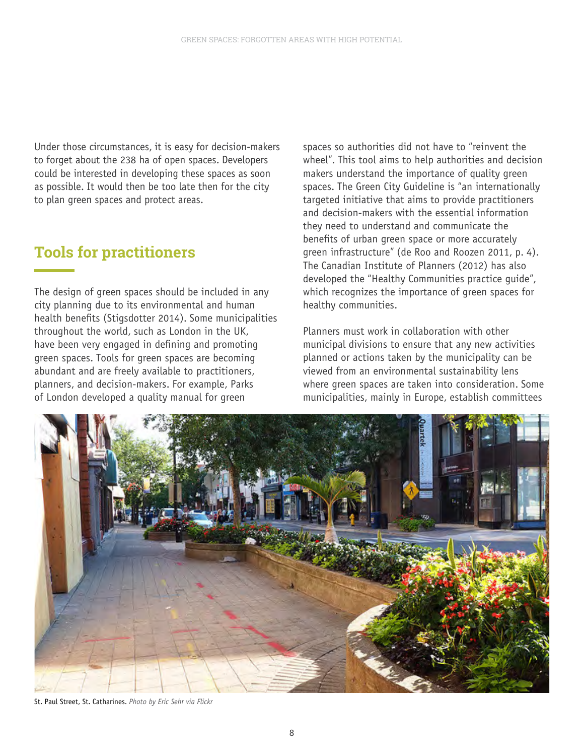Under those circumstances, it is easy for decision-makers to forget about the 238 ha of open spaces. Developers could be interested in developing these spaces as soon as possible. It would then be too late then for the city to plan green spaces and protect areas.

### **Tools for practitioners**

The design of green spaces should be included in any city planning due to its environmental and human health benefits (Stigsdotter 2014). Some municipalities throughout the world, such as London in the UK, have been very engaged in defining and promoting green spaces. Tools for green spaces are becoming abundant and are freely available to practitioners, planners, and decision-makers. For example, Parks of London developed a quality manual for green

spaces so authorities did not have to "reinvent the wheel". This tool aims to help authorities and decision makers understand the importance of quality green spaces. The Green City Guideline is "an internationally targeted initiative that aims to provide practitioners and decision-makers with the essential information they need to understand and communicate the benefits of urban green space or more accurately green infrastructure" (de Roo and Roozen 2011, p. 4). The Canadian Institute of Planners (2012) has also developed the "Healthy Communities practice guide", which recognizes the importance of green spaces for healthy communities.

Planners must work in collaboration with other municipal divisions to ensure that any new activities planned or actions taken by the municipality can be viewed from an environmental sustainability lens where green spaces are taken into consideration. Some municipalities, mainly in Europe, establish committees



St. Paul Street, St. Catharines. *Photo by Eric Sehr via Flickr*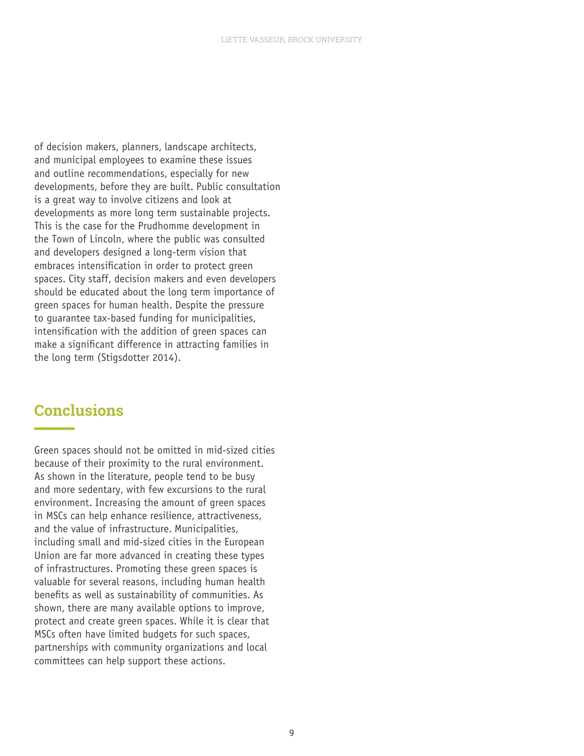of decision makers, planners, landscape architects, and municipal employees to examine these issues and outline recommendations, especially for new developments, before they are built. Public consultation is a great way to involve citizens and look at developments as more long term sustainable projects. This is the case for the Prudhomme development in the Town of Lincoln, where the public was consulted and developers designed a long-term vision that embraces intensification in order to protect green spaces. City staff, decision makers and even developers should be educated about the long term importance of green spaces for human health. Despite the pressure to guarantee tax-based funding for municipalities, intensification with the addition of green spaces can make a significant difference in attracting families in the long term (Stigsdotter 2014).

### **Conclusions**

Green spaces should not be omitted in mid-sized cities because of their proximity to the rural environment. As shown in the literature, people tend to be busy and more sedentary, with few excursions to the rural environment. Increasing the amount of green spaces in MSCs can help enhance resilience, attractiveness, and the value of infrastructure. Municipalities, including small and mid-sized cities in the European Union are far more advanced in creating these types of infrastructures. Promoting these green spaces is valuable for several reasons, including human health benefits as well as sustainability of communities. As shown, there are many available options to improve, protect and create green spaces. While it is clear that MSCs often have limited budgets for such spaces, partnerships with community organizations and local committees can help support these actions.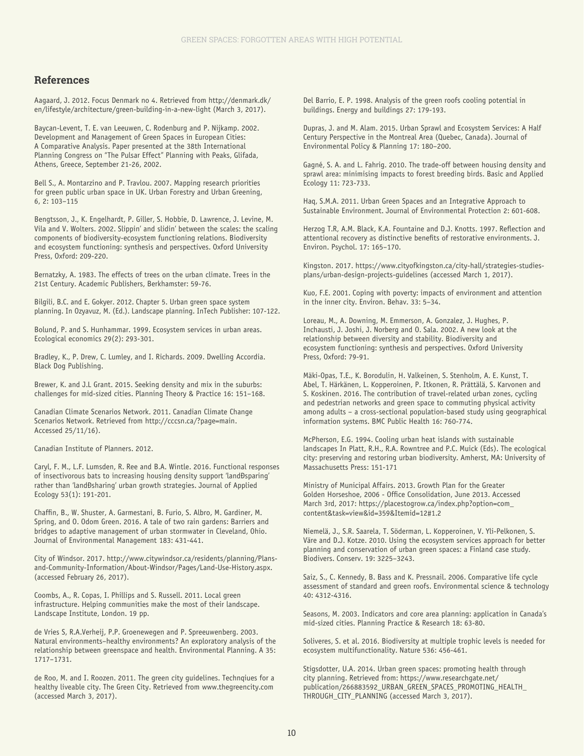#### **References**

Aagaard, J. 2012. Focus Denmark no 4. Retrieved from http://denmark.dk/ en/lifestyle/architecture/green-building-in-a-new-light (March 3, 2017).

Baycan-Levent, T. E. van Leeuwen, C. Rodenburg and P. Nijkamp. 2002. Development and Management of Green Spaces in European Cities: A Comparative Analysis. Paper presented at the 38th International Planning Congress on "The Pulsar Effect" Planning with Peaks, Glifada, Athens, Greece, September 21-26, 2002.

Bell S., A. Montarzino and P. Travlou. 2007. Mapping research priorities for green public urban space in UK. Urban Forestry and Urban Greening, 6, 2: 103–115

Bengtsson, J., K. Engelhardt, P. Giller, S. Hobbie, D. Lawrence, J. Levine, M. Vila and V. Wolters. 2002. Slippin' and slidin' between the scales: the scaling components of biodiversity-ecosystem functioning relations. Biodiversity and ecosystem functioning: synthesis and perspectives. Oxford University Press, Oxford: 209-220.

Bernatzky, A. 1983. The effects of trees on the urban climate. Trees in the 21st Century. Academic Publishers, Berkhamster: 59-76.

Bilgili, B.C. and E. Gokyer. 2012. Chapter 5. Urban green space system planning. In Ozyavuz, M. (Ed.). Landscape planning. InTech Publisher: 107-122.

Bolund, P. and S. Hunhammar. 1999. Ecosystem services in urban areas. Ecological economics 29(2): 293-301.

Bradley, K., P. Drew, C. Lumley, and I. Richards. 2009. Dwelling Accordia. Black Dog Publishing.

Brewer, K. and J.L Grant. 2015. Seeking density and mix in the suburbs: challenges for mid-sized cities. Planning Theory & Practice 16: 151–168.

Canadian Climate Scenarios Network. 2011. Canadian Climate Change Scenarios Network. Retrieved from http://cccsn.ca/?page=main. Accessed 25/11/16).

Canadian Institute of Planners. 2012.

Caryl, F. M., L.F. Lumsden, R. Ree and B.A. Wintle. 2016. Functional responses of insectivorous bats to increasing housing density support 'land Dsparing' rather than 'landĐsharing' urban growth strategies. Journal of Applied Ecology 53(1): 191-201.

Chaffin, B., W. Shuster, A. Garmestani, B. Furio, S. Albro, M. Gardiner, M. Spring, and O. Odom Green. 2016. A tale of two rain gardens: Barriers and bridges to adaptive management of urban stormwater in Cleveland, Ohio. Journal of Environmental Management 183: 431-441.

City of Windsor. 2017. http://www.citywindsor.ca/residents/planning/Plansand-Community-Information/About-Windsor/Pages/Land-Use-History.aspx. (accessed February 26, 2017).

Coombs, A., R. Copas, I. Phillips and S. Russell. 2011. Local green infrastructure. Helping communities make the most of their landscape. Landscape Institute, London. 19 pp.

de Vries S, R.A.Verheij, P.P. Groenewegen and P. Spreeuwenberg. 2003. Natural environments–healthy environments? An exploratory analysis of the relationship between greenspace and health. Environmental Planning. A 35: 1717–1731.

de Roo, M. and I. Roozen. 2011. The green city guidelines. Technqiues for a healthy liveable city. The Green City. Retrieved from www.thegreencity.com (accessed March 3, 2017).

Del Barrio, E. P. 1998. Analysis of the green roofs cooling potential in buildings. Energy and buildings 27: 179-193.

Dupras, J. and M. Alam. 2015. Urban Sprawl and Ecosystem Services: A Half Century Perspective in the Montreal Area (Quebec, Canada). Journal of Environmental Policy & Planning 17: 180–200.

Gagné, S. A. and L. Fahrig. 2010. The trade-off between housing density and sprawl area: minimising impacts to forest breeding birds. Basic and Applied Ecology 11: 723-733.

Haq, S.M.A. 2011. Urban Green Spaces and an Integrative Approach to Sustainable Environment. Journal of Environmental Protection 2: 601-608.

Herzog T.R, A.M. Black, K.A. Fountaine and D.J. Knotts. 1997. Reflection and attentional recovery as distinctive benefits of restorative environments. J. Environ. Psychol. 17: 165–170.

Kingston. 2017. https://www.cityofkingston.ca/city-hall/strategies-studiesplans/urban-design-projects-guidelines (accessed March 1, 2017).

Kuo, F.E. 2001. Coping with poverty: impacts of environment and attention in the inner city. Environ. Behav. 33: 5–34.

Loreau, M., A. Downing, M. Emmerson, A. Gonzalez, J. Hughes, P. Inchausti, J. Joshi, J. Norberg and O. Sala. 2002. A new look at the relationship between diversity and stability. Biodiversity and ecosystem functioning: synthesis and perspectives. Oxford University Press, Oxford: 79-91.

Mäki-Opas, T.E., K. Borodulin, H. Valkeinen, S. Stenholm, A. E. Kunst, T. Abel, T. Härkänen, L. Kopperoinen, P. Itkonen, R. Prättälä, S. Karvonen and S. Koskinen. 2016. The contribution of travel-related urban zones, cycling and pedestrian networks and green space to commuting physical activity among adults – a cross-sectional population-based study using geographical information systems. BMC Public Health 16: 760-774.

McPherson, E.G. 1994. Cooling urban heat islands with sustainable landscapes In Platt, R.H., R.A. Rowntree and P.C. Muick (Eds). The ecological city: preserving and restoring urban biodiversity. Amherst, MA: University of Massachusetts Press: 151-171

Ministry of Municipal Affairs. 2013. Growth Plan for the Greater Golden Horseshoe, 2006 - Office Consolidation, June 2013. Accessed March 3rd, 2017: https://placestogrow.ca/index.php?option=com\_ content&task=view&id=359&Itemid=12#1.2

Niemelä, J., S.R. Saarela, T. Söderman, L. Kopperoinen, V. Yli-Pelkonen, S. Väre and D.J. Kotze. 2010. Using the ecosystem services approach for better planning and conservation of urban green spaces: a Finland case study. Biodivers. Conserv. 19: 3225–3243.

Saiz, S., C. Kennedy, B. Bass and K. Pressnail. 2006. Comparative life cycle assessment of standard and green roofs. Environmental science & technology 40: 4312-4316.

Seasons, M. 2003. Indicators and core area planning: application in Canada's mid-sized cities. Planning Practice & Research 18: 63-80.

Soliveres, S. et al. 2016. Biodiversity at multiple trophic levels is needed for ecosystem multifunctionality. Nature 536: 456-461.

Stigsdotter, U.A. 2014. Urban green spaces: promoting health through city planning. Retrieved from: https://www.researchgate.net/ publication/266883592\_URBAN\_GREEN\_SPACES\_PROMOTING\_HEALTH\_ THROUGH\_CITY\_PLANNING (accessed March 3, 2017).